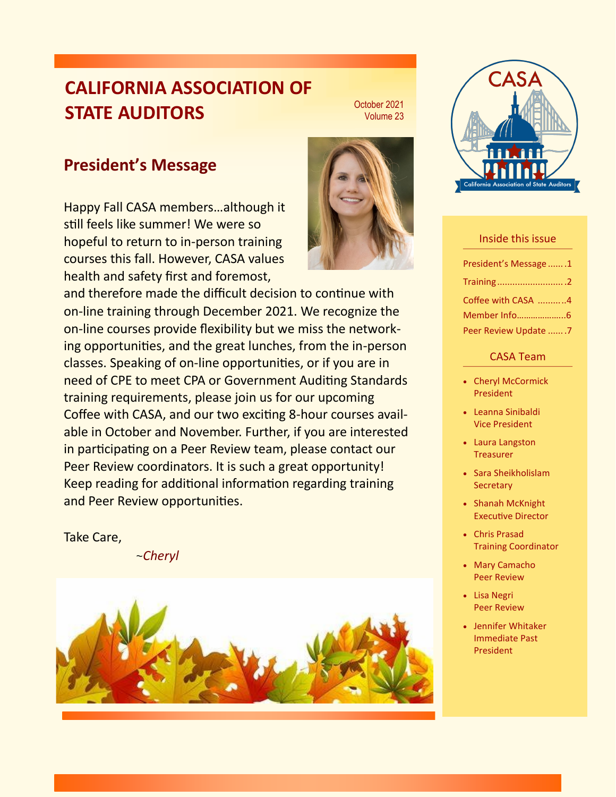## **CALIFORNIA ASSOCIATION OF STATE AUDITORS**



October 2021

## **President's Message**

Happy Fall CASA members…although it still feels like summer! We were so hopeful to return to in-person training courses this fall. However, CASA values health and safety first and foremost,

and therefore made the difficult decision to continue with on-line training through December 2021. We recognize the on-line courses provide fexibility but we miss the networking opportunites, and the great lunches, from the in-person classes. Speaking of on-line opportunities, or if you are in need of CPE to meet CPA or Government Auditing Standards training requirements, please join us for our upcoming Coffee with CASA, and our two exciting 8-hour courses available in October and November. Further, if you are interested in participating on a Peer Review team, please contact our Peer Review coordinators. It is such a great opportunity! Keep reading for additonal informaton regarding training and Peer Review opportunities.

Take Care,

~*Cheryl*





#### Inside this issue

| President's Message 1 |  |
|-----------------------|--|
| Training 2            |  |
| Coffee with CASA 4    |  |
| Member Info6          |  |
| Peer Review Update 7  |  |

#### CASA Team

- Cheryl McCormick President
- Leanna Sinibaldi Vice President
- Laura Langston **Treasurer**
- Sara Sheikholislam **Secretary**
- Shanah McKnight **Executive Director**
- Chris Prasad Training Coordinator
- Mary Camacho Peer Review
- Lisa Negri Peer Review
- Jennifer Whitaker Immediate Past President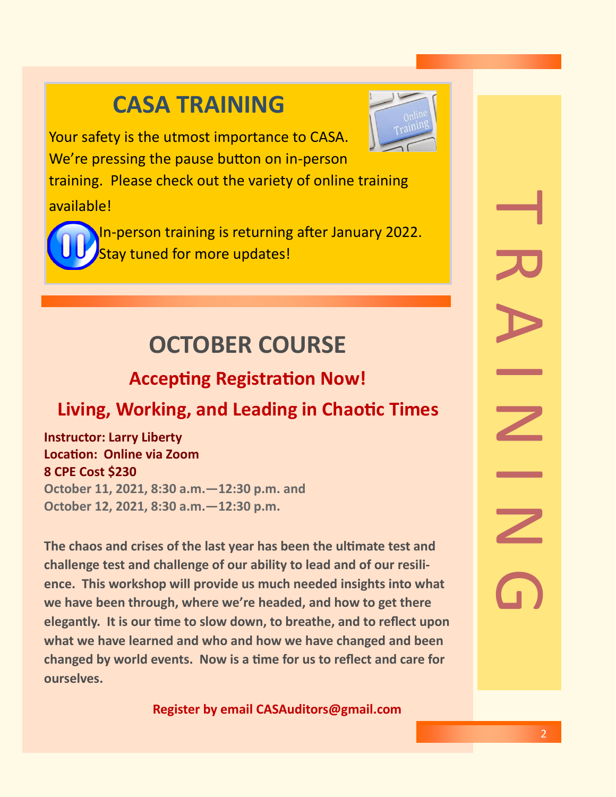# **CASA TRAINING**



Your safety is the utmost importance to CASA. We're pressing the pause button on in-person

training. Please check out the variety of online training available!



In-person training is returning after January 2022. Stay tuned for more updates!

# **OCTOBER COURSE**

# **Accepting Registration Now!**

# **Living, Working, and Leading in Chaotic Times**

**Instructor: Larry Liberty Locaton: Online via Zoom 8 CPE Cost \$230 October 11, 2021, 8:30 a.m.—12:30 p.m. and October 12, 2021, 8:30 a.m.—12:30 p.m.**

**The chaos and crises of the last year has been the ultmate test and challenge test and challenge of our ability to lead and of our resilience. This workshop will provide us much needed insights into what we have been through, where we're headed, and how to get there elegantly. It is our tme to slow down, to breathe, and to refect upon what we have learned and who and how we have changed and been changed by world events. Now is a tme for us to refect and care for ourselves.** 

**Register by email CASAuditors@gmail.com**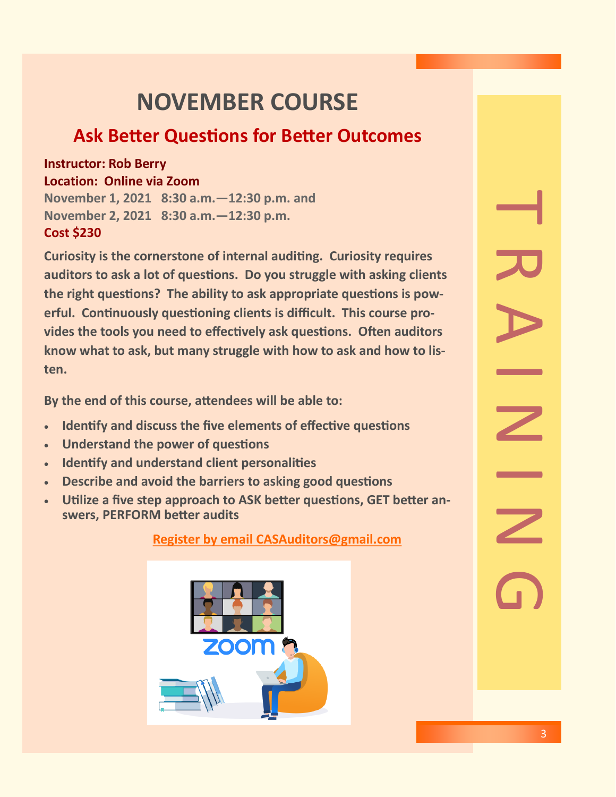# **NOVEMBER COURSE**

## **Ask Better Questions for Better Outcomes**

#### **Instructor: Rob Berry Location: Online via Zoom**

**November 1, 2021 8:30 a.m.—12:30 p.m. and November 2, 2021 8:30 a.m.—12:30 p.m. Cost \$230**

**Curiosity is the cornerstone of internal auditng. Curiosity requires auditors to ask a lot of questons. Do you struggle with asking clients**  the right questions? The ability to ask appropriate questions is powerful. Continuously questioning clients is difficult. This course provides the tools you need to effectively ask questions. Often auditors **know what to ask, but many struggle with how to ask and how to listen.**

**By the end of this course, atendees will be able to:**

- **Identfy and discuss the fve elements of efectve questons**
- **Understand the power of questons**
- **Identfy and understand client personalites**
- **Describe and avoid the barriers to asking good questons**
- **Utlize a fve step approach to ASK beter questons, GET beter answers, PERFORM beter audits**

**Register by email CASAuditors@gmail.com** 



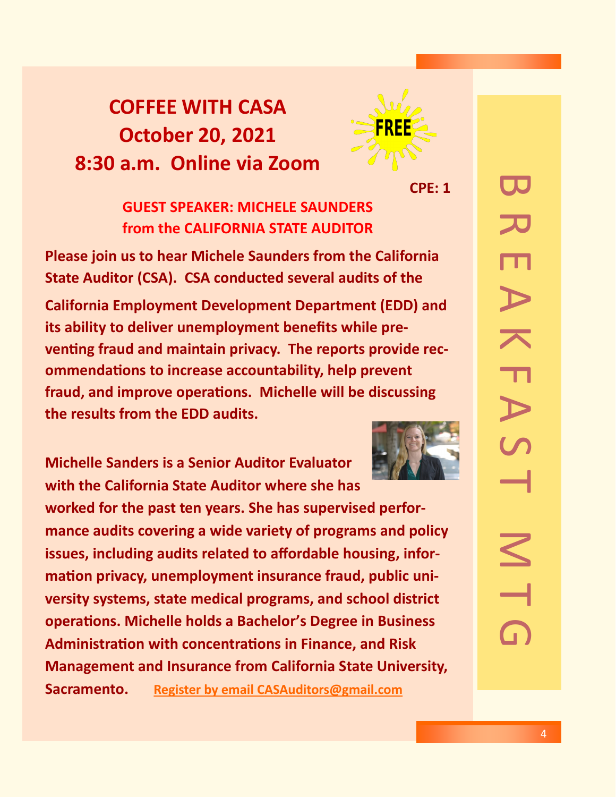# **COFFEE WITH CASA October 20, 2021 8:30 a.m. Online via Zoom**



**CPE: 1**

**GUEST SPEAKER: MICHELE SAUNDERS from the CALIFORNIA STATE AUDITOR**

**Please join us to hear Michele Saunders from the California State Auditor (CSA). CSA conducted several audits of the** 

**California Employment Development Department (EDD) and its ability to deliver unemployment benefts while pre**venting fraud and maintain privacy. The reports provide rec**ommendatons to increase accountability, help prevent fraud, and improve operatons. Michelle will be discussing the results from the EDD audits.**

**Michelle Sanders is a Senior Auditor Evaluator with the California State Auditor where she has worked for the past ten years. She has supervised performance audits covering a wide variety of programs and policy issues, including audits related to afordable housing, infor**mation privacy, unemployment insurance fraud, public uni**versity systems, state medical programs, and school district operatons. Michelle holds a Bachelor's Degree in Business Administraton with concentratons in Finance, and Risk Management and Insurance from California State University, Sacramento. Register by email CASAuditors@gmail.com** 

BREAKFAST MTG TU,  $\overline{\phantom{1}}$  $\overline{\mathbf{L}}$  $\triangleright$  $\leq$  $\overline{\phantom{0}}$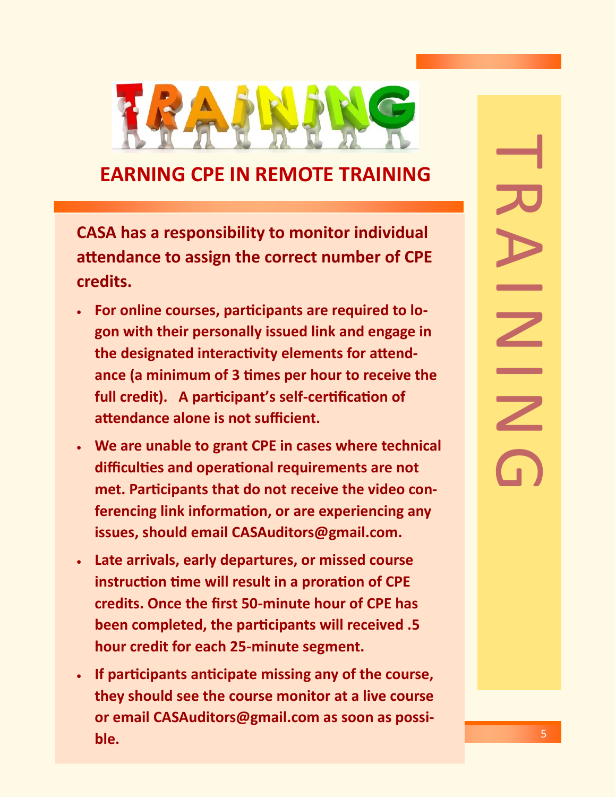

## **EARNING CPE IN REMOTE TRAINING**

**CASA has a responsibility to monitor individual atendance to assign the correct number of CPE credits.**

- **For online courses, partcipants are required to logon with their personally issued link and engage in**  the designated interactivity elements for attend**ance (a minimum of 3 tmes per hour to receive the full credit). A partcipant's self-certfcaton of**  attendance alone is not sufficient.
- **We are unable to grant CPE in cases where technical difcultes and operatonal requirements are not**  met. Participants that do not receive the video con**ferencing link informaton, or are experiencing any issues, should email CASAuditors@gmail.com.**
- **Late arrivals, early departures, or missed course instruction time will result in a proration of CPE credits. Once the frst 50-minute hour of CPE has been completed, the participants will received .5 hour credit for each 25-minute segment.**
- **If partcipants antcipate missing any of the course, they should see the course monitor at a live course or email CASAuditors@gmail.com as soon as possible.**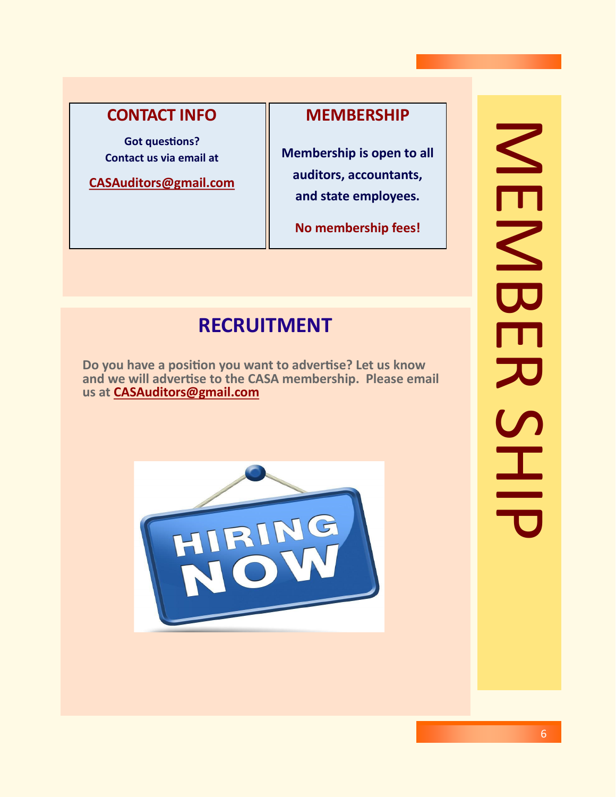### **CONTACT INFO**

**Got questons? Contact us via email at**

**CASAuditors@gmail.com**

#### **MEMBERSHIP**

**Membership is open to all auditors, accountants, and state employees.**

**No membership fees!**

## **RECRUITMENT**

**Do you have a positon you want to advertse? Let us know and we will advertse to the CASA membership. Please email us at CASAuditors@gmail.com**



# NER<br>MEMBER<br>HEMB NEMBE  $\overline{\mathcal{L}}$  $\frac{6}{11}$